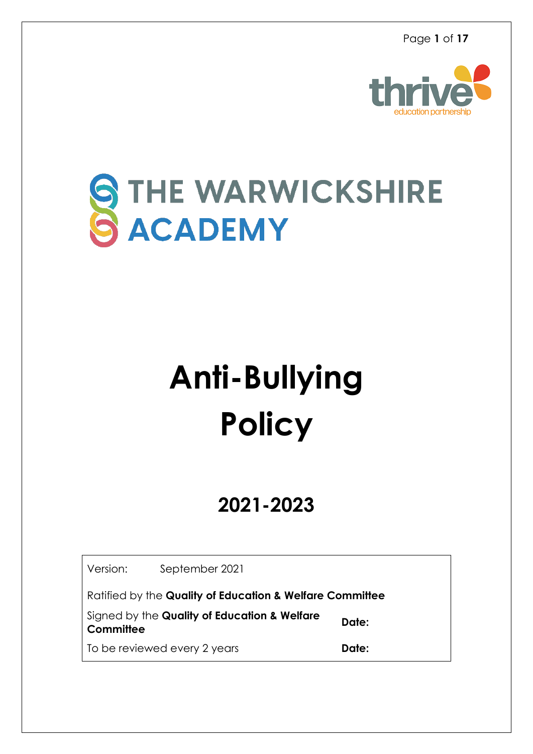

## THE WARWICKSHIRE ACADEMY

# **Anti-Bullying Policy**

### **2021-2023**

Version: September 2021

Ratified by the **Quality of Education & Welfare Committee**

Signed by the **Quality of Education & Welfare Committee**

To be reviewed every 2 years **Date:** 

**Date:**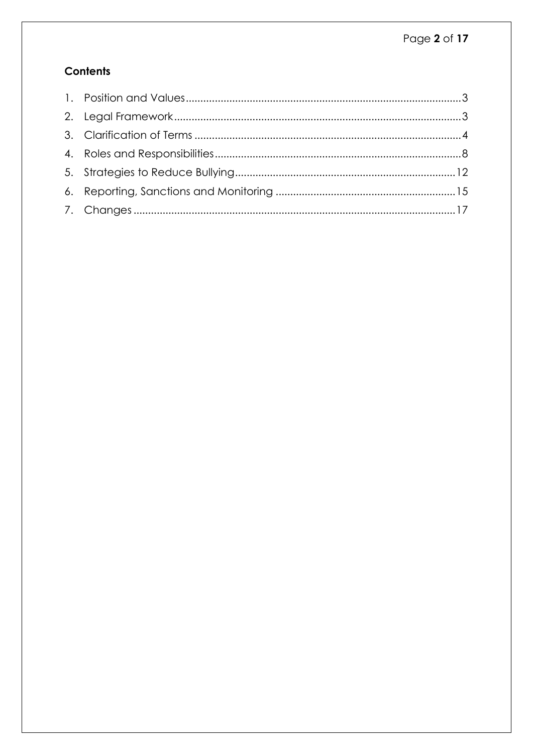#### **Contents**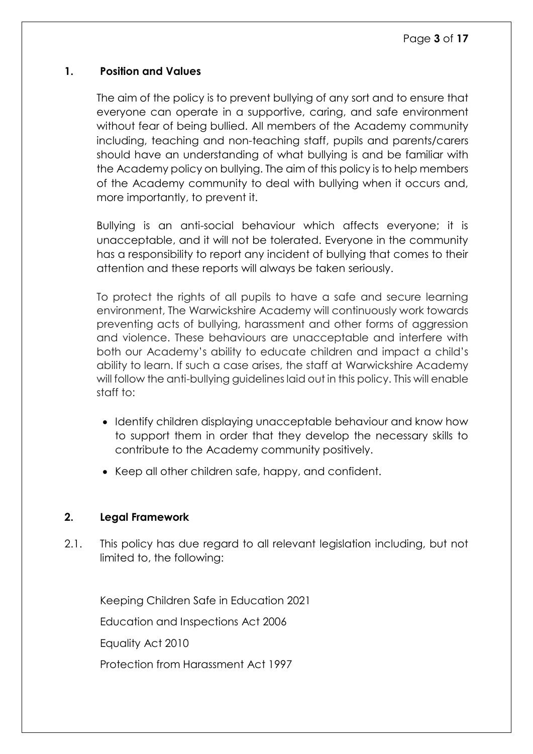#### <span id="page-2-0"></span>**1. Position and Values**

The aim of the policy is to prevent bullying of any sort and to ensure that everyone can operate in a supportive, caring, and safe environment without fear of being bullied. All members of the Academy community including, teaching and non-teaching staff, pupils and parents/carers should have an understanding of what bullying is and be familiar with the Academy policy on bullying. The aim of this policy is to help members of the Academy community to deal with bullying when it occurs and, more importantly, to prevent it.

Bullying is an anti-social behaviour which affects everyone; it is unacceptable, and it will not be tolerated. Everyone in the community has a responsibility to report any incident of bullying that comes to their attention and these reports will always be taken seriously.

To protect the rights of all pupils to have a safe and secure learning environment, The Warwickshire Academy will continuously work towards preventing acts of bullying, harassment and other forms of aggression and violence. These behaviours are unacceptable and interfere with both our Academy's ability to educate children and impact a child's ability to learn. If such a case arises, the staff at Warwickshire Academy will follow the anti-bullying guidelines laid out in this policy. This will enable staff to:

- Identify children displaying unacceptable behaviour and know how to support them in order that they develop the necessary skills to contribute to the Academy community positively.
- Keep all other children safe, happy, and confident.

#### <span id="page-2-1"></span>**2. Legal Framework**

2.1. This policy has due regard to all relevant legislation including, but not limited to, the following:

Keeping Children Safe in Education 2021

Education and Inspections Act 2006

Equality Act 2010

Protection from Harassment Act 1997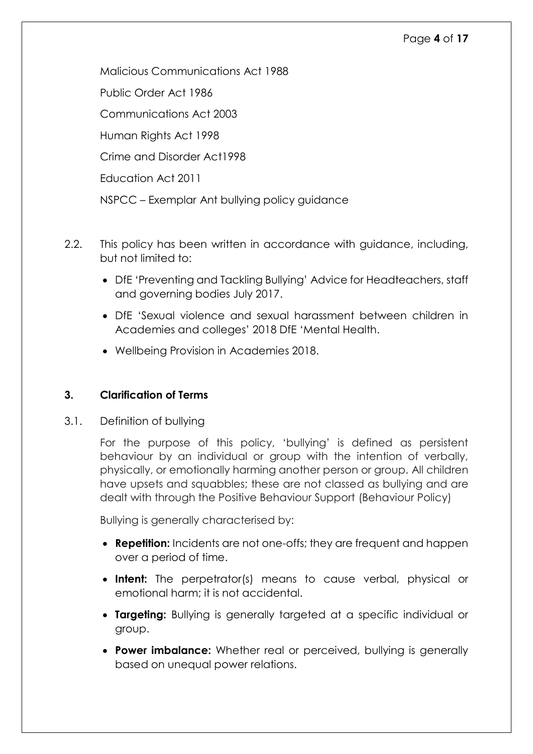#### Page **4** of **17**

Malicious Communications Act 1988 Public Order Act 1986 Communications Act 2003 Human Rights Act 1998 Crime and Disorder Act1998 Education Act 2011 NSPCC – Exemplar Ant bullying policy guidance

- 2.2. This policy has been written in accordance with auidance, including, but not limited to:
	- DfE 'Preventing and Tackling Bullying' Advice for Headteachers, staff and governing bodies July 2017.
	- DfE 'Sexual violence and sexual harassment between children in Academies and colleges' 2018 DfE 'Mental Health.
	- Wellbeing Provision in Academies 2018.

#### <span id="page-3-0"></span>**3. Clarification of Terms**

3.1. Definition of bullying

For the purpose of this policy, 'bullying' is defined as persistent behaviour by an individual or group with the intention of verbally, physically, or emotionally harming another person or group. All children have upsets and squabbles; these are not classed as bullying and are dealt with through the Positive Behaviour Support (Behaviour Policy)

Bullying is generally characterised by:

- **Repetition:** Incidents are not one-offs; they are frequent and happen over a period of time.
- **Intent:** The perpetrator(s) means to cause verbal, physical or emotional harm; it is not accidental.
- **Targeting:** Bullying is generally targeted at a specific individual or group.
- **Power imbalance:** Whether real or perceived, bullying is generally based on unequal power relations.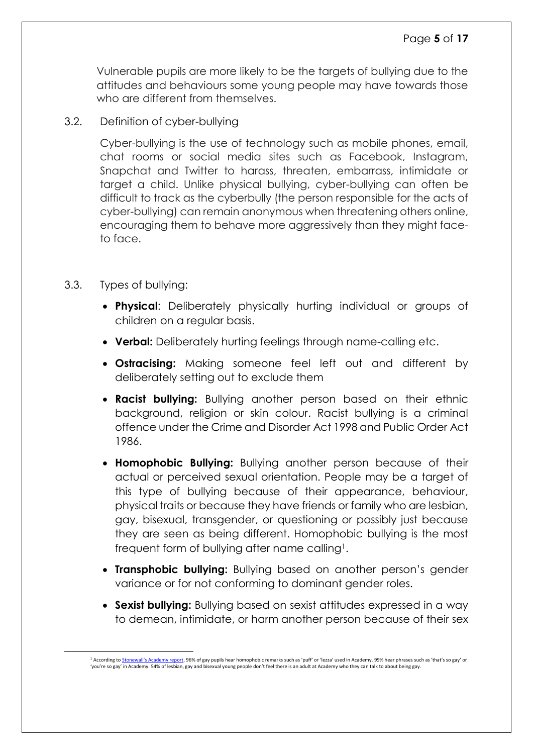Vulnerable pupils are more likely to be the targets of bullying due to the attitudes and behaviours some young people may have towards those who are different from themselves.

3.2. Definition of cyber-bullying

Cyber-bullying is the use of technology such as mobile phones, email, chat rooms or social media sites such as Facebook, Instagram, Snapchat and Twitter to harass, threaten, embarrass, intimidate or target a child. Unlike physical bullying, cyber-bullying can often be difficult to track as the cyberbully (the person responsible for the acts of cyber-bullying) can remain anonymous when threatening others online, encouraging them to behave more aggressively than they might faceto face.

3.3. Types of bullying:

 $\overline{a}$ 

- **Physical**: Deliberately physically hurting individual or groups of children on a regular basis.
- **Verbal:** Deliberately hurting feelings through name-calling etc.
- **Ostracising:** Making someone feel left out and different by deliberately setting out to exclude them
- **Racist bullying:** Bullying another person based on their ethnic background, religion or skin colour. Racist bullying is a criminal offence under the Crime and Disorder Act 1998 and Public Order Act 1986.
- **Homophobic Bullying:** Bullying another person because of their actual or perceived sexual orientation. People may be a target of this type of bullying because of their appearance, behaviour, physical traits or because they have friends or family who are lesbian, gay, bisexual, transgender, or questioning or possibly just because they are seen as being different. Homophobic bullying is the most frequent form of bullying after name calling<sup>1</sup>.
- **Transphobic bullying:** Bullying based on another person's gender variance or for not conforming to dominant gender roles.
- **Sexist bullying:** Bullying based on sexist attitudes expressed in a way to demean, intimidate, or harm another person because of their sex

<sup>&</sup>lt;sup>1</sup> According [to](http://www.stonewall.org.uk/sites/default/files/The_School_Report__2012_.pdf) [Stonewall's Academy report](http://www.stonewall.org.uk/sites/default/files/The_School_Report__2012_.pdf)[, 9](http://www.stonewall.org.uk/sites/default/files/The_School_Report__2012_.pdf)6% of gay pupils hear homophobic remarks such as 'puff' or 'lezza' used in Academy. 99% hear phrases such as 'that's so gay' or 'you're so gay' in Academy. 54% of lesbian, gay and bisexual young people don't feel there is an adult at Academy who they can talk to about being gay.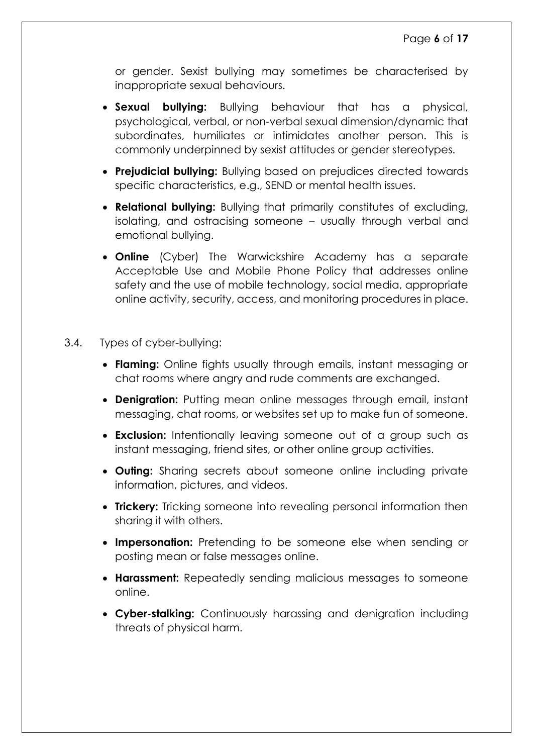or gender. Sexist bullying may sometimes be characterised by inappropriate sexual behaviours.

- **Sexual bullying:** Bullying behaviour that has a physical, psychological, verbal, or non-verbal sexual dimension/dynamic that subordinates, humiliates or intimidates another person. This is commonly underpinned by sexist attitudes or gender stereotypes.
- **Prejudicial bullying:** Bullying based on prejudices directed towards specific characteristics, e.g., SEND or mental health issues.
- **Relational bullying:** Bullying that primarily constitutes of excluding, isolating, and ostracising someone – usually through verbal and emotional bullying.
- **Online** (Cyber) The Warwickshire Academy has a separate Acceptable Use and Mobile Phone Policy that addresses online safety and the use of mobile technology, social media, appropriate online activity, security, access, and monitoring procedures in place.
- 3.4. Types of cyber-bullying:
	- **Flaming:** Online fights usually through emails, instant messaging or chat rooms where angry and rude comments are exchanged.
	- **Denigration:** Putting mean online messages through email, instant messaging, chat rooms, or websites set up to make fun of someone.
	- **Exclusion:** Intentionally leaving someone out of a group such as instant messaging, friend sites, or other online group activities.
	- **Outing:** Sharing secrets about someone online including private information, pictures, and videos.
	- **Trickery:** Tricking someone into revealing personal information then sharing it with others.
	- **Impersonation:** Pretending to be someone else when sending or posting mean or false messages online.
	- **Harassment:** Repeatedly sending malicious messages to someone online.
	- **Cyber-stalking:** Continuously harassing and denigration including threats of physical harm.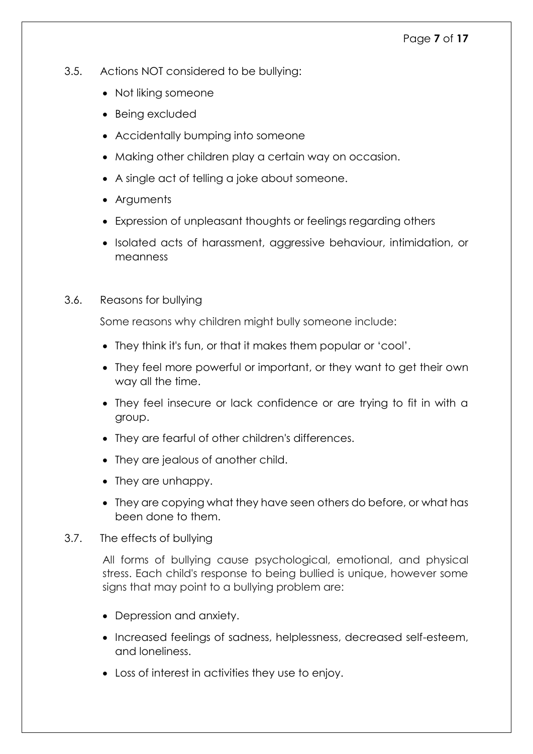- 3.5. Actions NOT considered to be bullying:
	- Not liking someone
	- Being excluded
	- Accidentally bumping into someone
	- Making other children play a certain way on occasion.
	- A single act of telling a joke about someone.
	- Arguments
	- Expression of unpleasant thoughts or feelings regarding others
	- Isolated acts of harassment, aggressive behaviour, intimidation, or meanness
- 3.6. Reasons for bullying

Some reasons why children might bully someone include:

- They think it's fun, or that it makes them popular or 'cool'.
- They feel more powerful or important, or they want to get their own way all the time.
- They feel insecure or lack confidence or are trying to fit in with a group.
- They are fearful of other children's differences.
- They are jealous of another child.
- They are unhappy.
- They are copying what they have seen others do before, or what has been done to them.
- 3.7. The effects of bullying

All forms of bullying cause psychological, emotional, and physical stress. Each child's response to being bullied is unique, however some signs that may point to a bullying problem are:

- Depression and anxiety.
- Increased feelings of sadness, helplessness, decreased self-esteem, and loneliness.
- Loss of interest in activities they use to enjoy.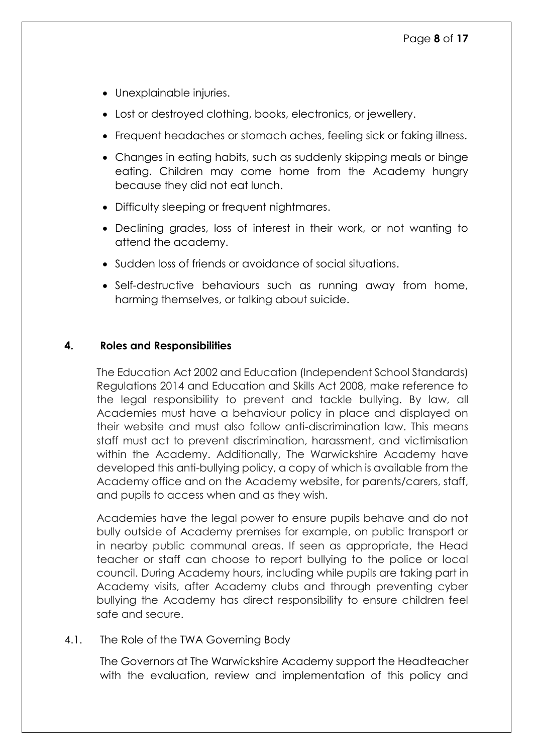- Unexplainable injuries.
- Lost or destroyed clothing, books, electronics, or jewellery.
- Frequent headaches or stomach aches, feeling sick or faking illness.
- Changes in eating habits, such as suddenly skipping meals or binge eating. Children may come home from the Academy hungry because they did not eat lunch.
- Difficulty sleeping or frequent nightmares.
- Declining grades, loss of interest in their work, or not wanting to attend the academy.
- Sudden loss of friends or avoidance of social situations.
- Self-destructive behaviours such as running away from home, harming themselves, or talking about suicide.

#### <span id="page-7-0"></span>**4. Roles and Responsibilities**

The Education Act 2002 and Education (Independent School Standards) Regulations 2014 and Education and Skills Act 2008, make reference to the legal responsibility to prevent and tackle bullying. By law, all Academies must have a behaviour policy in place and displayed on their website and must also follow anti-discrimination law. This means staff must act to prevent discrimination, harassment, and victimisation within the Academy. Additionally, The Warwickshire Academy have developed this anti-bullying policy, a copy of which is available from the Academy office and on the Academy website, for parents/carers, staff, and pupils to access when and as they wish.

Academies have the legal power to ensure pupils behave and do not bully outside of Academy premises for example, on public transport or in nearby public communal areas. If seen as appropriate, the Head teacher or staff can choose to report bullying to the police or local council. During Academy hours, including while pupils are taking part in Academy visits, after Academy clubs and through preventing cyber bullying the Academy has direct responsibility to ensure children feel safe and secure.

#### 4.1. The Role of the TWA Governing Body

The Governors at The Warwickshire Academy support the Headteacher with the evaluation, review and implementation of this policy and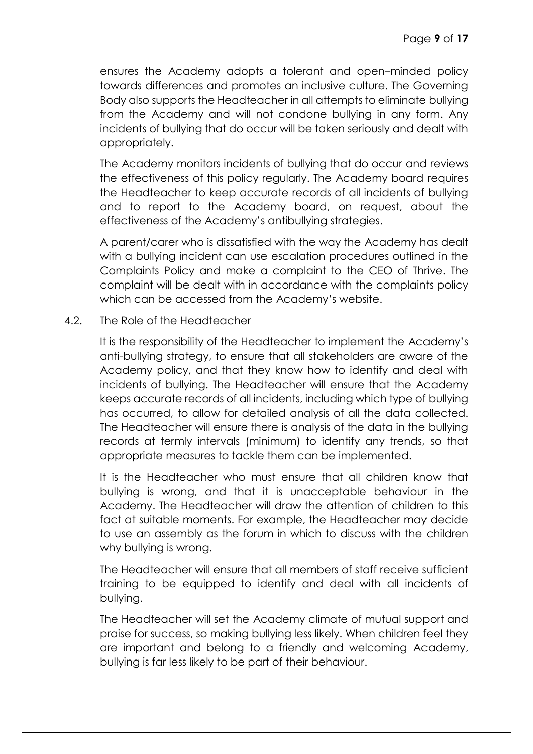ensures the Academy adopts a tolerant and open–minded policy towards differences and promotes an inclusive culture. The Governing Body also supports the Headteacher in all attempts to eliminate bullying from the Academy and will not condone bullying in any form. Any incidents of bullying that do occur will be taken seriously and dealt with appropriately.

The Academy monitors incidents of bullying that do occur and reviews the effectiveness of this policy regularly. The Academy board requires the Headteacher to keep accurate records of all incidents of bullying and to report to the Academy board, on request, about the effectiveness of the Academy's antibullying strategies.

A parent/carer who is dissatisfied with the way the Academy has dealt with a bullying incident can use escalation procedures outlined in the Complaints Policy and make a complaint to the CEO of Thrive. The complaint will be dealt with in accordance with the complaints policy which can be accessed from the Academy's website.

#### 4.2. The Role of the Headteacher

It is the responsibility of the Headteacher to implement the Academy's anti-bullying strategy, to ensure that all stakeholders are aware of the Academy policy, and that they know how to identify and deal with incidents of bullying. The Headteacher will ensure that the Academy keeps accurate records of all incidents, including which type of bullying has occurred, to allow for detailed analysis of all the data collected. The Headteacher will ensure there is analysis of the data in the bullying records at termly intervals (minimum) to identify any trends, so that appropriate measures to tackle them can be implemented.

It is the Headteacher who must ensure that all children know that bullying is wrong, and that it is unacceptable behaviour in the Academy. The Headteacher will draw the attention of children to this fact at suitable moments. For example, the Headteacher may decide to use an assembly as the forum in which to discuss with the children why bullying is wrong.

The Headteacher will ensure that all members of staff receive sufficient training to be equipped to identify and deal with all incidents of bullying.

The Headteacher will set the Academy climate of mutual support and praise for success, so making bullying less likely. When children feel they are important and belong to a friendly and welcoming Academy, bullying is far less likely to be part of their behaviour.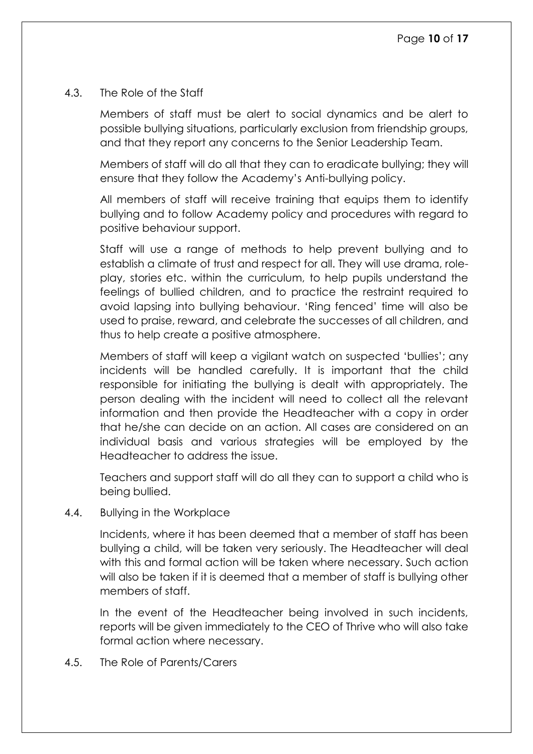#### 4.3. The Role of the Staff

Members of staff must be alert to social dynamics and be alert to possible bullying situations, particularly exclusion from friendship groups, and that they report any concerns to the Senior Leadership Team.

Members of staff will do all that they can to eradicate bullying; they will ensure that they follow the Academy's Anti-bullying policy.

All members of staff will receive training that equips them to identify bullying and to follow Academy policy and procedures with regard to positive behaviour support.

Staff will use a range of methods to help prevent bullying and to establish a climate of trust and respect for all. They will use drama, roleplay, stories etc. within the curriculum, to help pupils understand the feelings of bullied children, and to practice the restraint required to avoid lapsing into bullying behaviour. 'Ring fenced' time will also be used to praise, reward, and celebrate the successes of all children, and thus to help create a positive atmosphere.

Members of staff will keep a vigilant watch on suspected 'bullies'; any incidents will be handled carefully. It is important that the child responsible for initiating the bullying is dealt with appropriately. The person dealing with the incident will need to collect all the relevant information and then provide the Headteacher with a copy in order that he/she can decide on an action. All cases are considered on an individual basis and various strategies will be employed by the Headteacher to address the issue.

Teachers and support staff will do all they can to support a child who is being bullied.

4.4. Bullying in the Workplace

Incidents, where it has been deemed that a member of staff has been bullying a child, will be taken very seriously. The Headteacher will deal with this and formal action will be taken where necessary. Such action will also be taken if it is deemed that a member of staff is bullying other members of staff.

In the event of the Headteacher being involved in such incidents, reports will be given immediately to the CEO of Thrive who will also take formal action where necessary.

4.5. The Role of Parents/Carers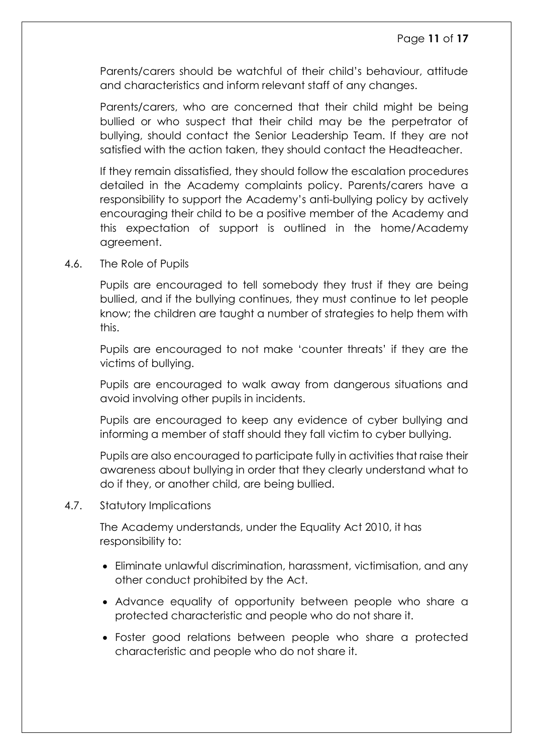Parents/carers should be watchful of their child's behaviour, attitude and characteristics and inform relevant staff of any changes.

Parents/carers, who are concerned that their child might be being bullied or who suspect that their child may be the perpetrator of bullying, should contact the Senior Leadership Team. If they are not satisfied with the action taken, they should contact the Headteacher.

If they remain dissatisfied, they should follow the escalation procedures detailed in the Academy complaints policy. Parents/carers have a responsibility to support the Academy's anti-bullying policy by actively encouraging their child to be a positive member of the Academy and this expectation of support is outlined in the home/Academy agreement.

4.6. The Role of Pupils

Pupils are encouraged to tell somebody they trust if they are being bullied, and if the bullying continues, they must continue to let people know; the children are taught a number of strategies to help them with this.

Pupils are encouraged to not make 'counter threats' if they are the victims of bullying.

Pupils are encouraged to walk away from dangerous situations and avoid involving other pupils in incidents.

Pupils are encouraged to keep any evidence of cyber bullying and informing a member of staff should they fall victim to cyber bullying.

Pupils are also encouraged to participate fully in activities that raise their awareness about bullying in order that they clearly understand what to do if they, or another child, are being bullied.

4.7. Statutory Implications

The Academy understands, under the Equality Act 2010, it has responsibility to:

- Eliminate unlawful discrimination, harassment, victimisation, and any other conduct prohibited by the Act.
- Advance equality of opportunity between people who share a protected characteristic and people who do not share it.
- Foster good relations between people who share a protected characteristic and people who do not share it.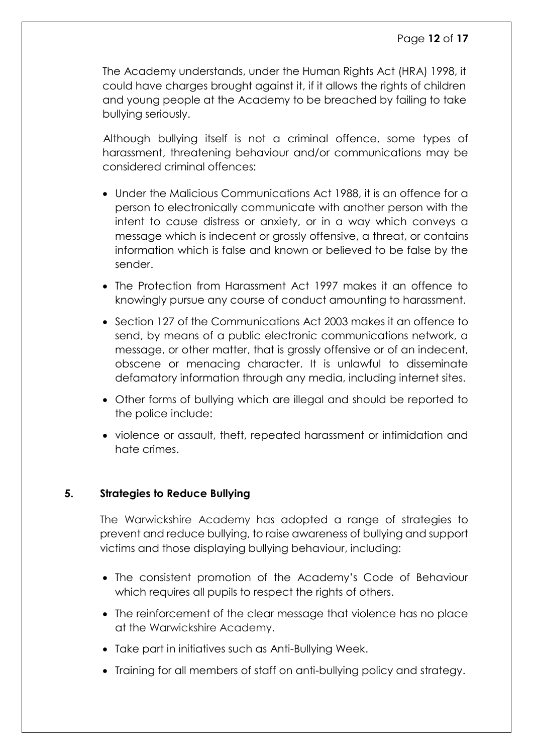The Academy understands, under the Human Rights Act (HRA) 1998, it could have charges brought against it, if it allows the rights of children and young people at the Academy to be breached by failing to take bullying seriously.

Although bullying itself is not a criminal offence, some types of harassment, threatening behaviour and/or communications may be considered criminal offences:

- Under the Malicious Communications Act 1988, it is an offence for a person to electronically communicate with another person with the intent to cause distress or anxiety, or in a way which conveys a message which is indecent or grossly offensive, a threat, or contains information which is false and known or believed to be false by the sender.
- The Protection from Harassment Act 1997 makes it an offence to knowingly pursue any course of conduct amounting to harassment.
- Section 127 of the Communications Act 2003 makes it an offence to send, by means of a public electronic communications network, a message, or other matter, that is grossly offensive or of an indecent, obscene or menacing character. It is unlawful to disseminate defamatory information through any media, including internet sites.
- Other forms of bullying which are illegal and should be reported to the police include:
- violence or assault, theft, repeated harassment or intimidation and hate crimes.

#### <span id="page-11-0"></span>**5. Strategies to Reduce Bullying**

The Warwickshire Academy has adopted a range of strategies to prevent and reduce bullying, to raise awareness of bullying and support victims and those displaying bullying behaviour, including:

- The consistent promotion of the Academy's Code of Behaviour which requires all pupils to respect the rights of others.
- The reinforcement of the clear message that violence has no place at the Warwickshire Academy.
- Take part in initiatives such as Anti-Bullying Week.
- Training for all members of staff on anti-bullying policy and strategy.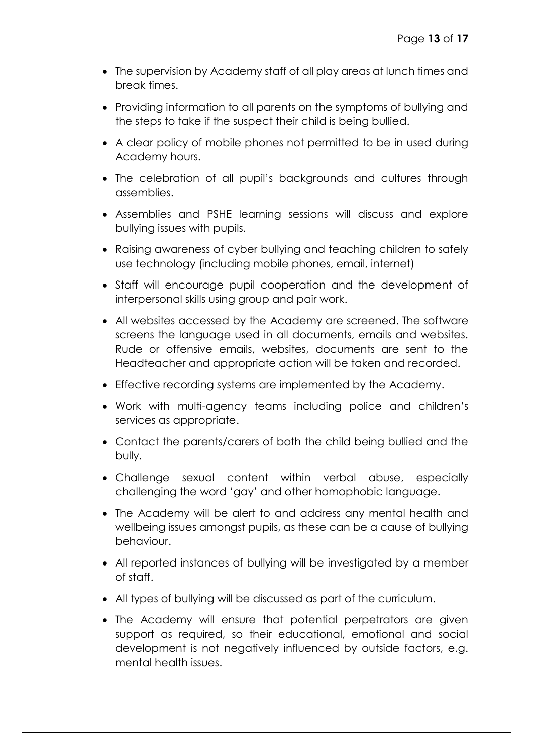- The supervision by Academy staff of all play areas at lunch times and break times.
- Providing information to all parents on the symptoms of bullying and the steps to take if the suspect their child is being bullied.
- A clear policy of mobile phones not permitted to be in used during Academy hours.
- The celebration of all pupil's backgrounds and cultures through assemblies.
- Assemblies and PSHE learning sessions will discuss and explore bullying issues with pupils.
- Raising awareness of cyber bullying and teaching children to safely use technology (including mobile phones, email, internet)
- Staff will encourage pupil cooperation and the development of interpersonal skills using group and pair work.
- All websites accessed by the Academy are screened. The software screens the language used in all documents, emails and websites. Rude or offensive emails, websites, documents are sent to the Headteacher and appropriate action will be taken and recorded.
- Effective recording systems are implemented by the Academy.
- Work with multi-agency teams including police and children's services as appropriate.
- Contact the parents/carers of both the child being bullied and the bully.
- Challenge sexual content within verbal abuse, especially challenging the word 'gay' and other homophobic language.
- The Academy will be alert to and address any mental health and wellbeing issues amongst pupils, as these can be a cause of bullying behaviour.
- All reported instances of bullying will be investigated by a member of staff.
- All types of bullying will be discussed as part of the curriculum.
- The Academy will ensure that potential perpetrators are given support as required, so their educational, emotional and social development is not negatively influenced by outside factors, e.g. mental health issues.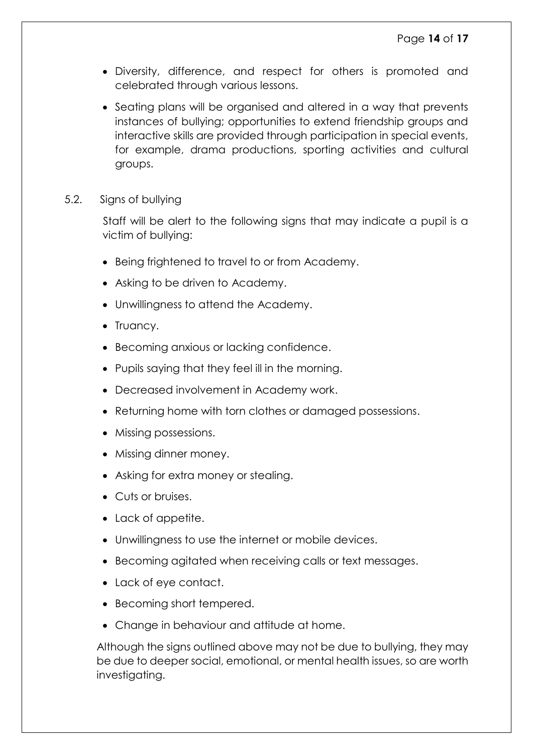- Diversity, difference, and respect for others is promoted and celebrated through various lessons.
- Seating plans will be organised and altered in a way that prevents instances of bullying; opportunities to extend friendship groups and interactive skills are provided through participation in special events, for example, drama productions, sporting activities and cultural groups.
- 5.2. Signs of bullying

Staff will be alert to the following signs that may indicate a pupil is a victim of bullying:

- Being frightened to travel to or from Academy.
- Asking to be driven to Academy.
- Unwillingness to attend the Academy.
- Truancy.
- Becoming anxious or lacking confidence.
- Pupils saying that they feel ill in the morning.
- Decreased involvement in Academy work.
- Returning home with torn clothes or damaged possessions.
- Missing possessions.
- Missing dinner money.
- Asking for extra money or stealing.
- Cuts or bruises.
- Lack of appetite.
- Unwillingness to use the internet or mobile devices.
- Becoming agitated when receiving calls or text messages.
- Lack of eye contact.
- Becoming short tempered.
- Change in behaviour and attitude at home.

Although the signs outlined above may not be due to bullying, they may be due to deeper social, emotional, or mental health issues, so are worth investigating.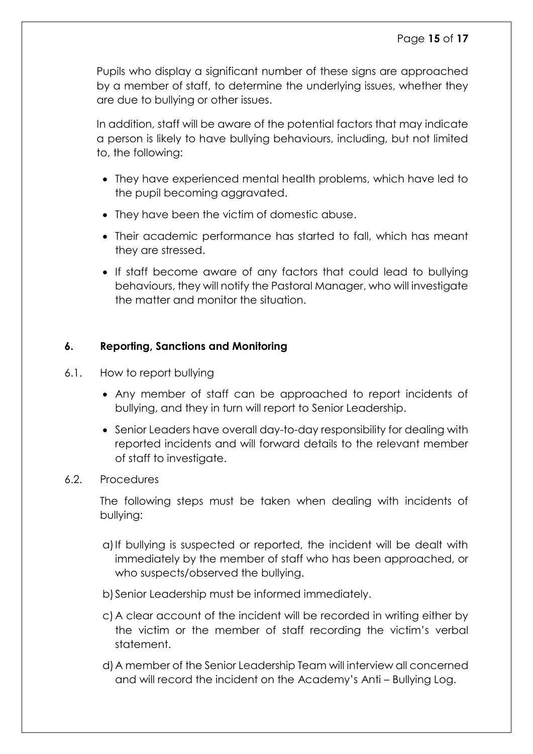Pupils who display a significant number of these signs are approached by a member of staff, to determine the underlying issues, whether they are due to bullying or other issues.

In addition, staff will be aware of the potential factors that may indicate a person is likely to have bullying behaviours, including, but not limited to, the following:

- They have experienced mental health problems, which have led to the pupil becoming aggravated.
- They have been the victim of domestic abuse.
- Their academic performance has started to fall, which has meant they are stressed.
- If staff become aware of any factors that could lead to bullying behaviours, they will notify the Pastoral Manager, who will investigate the matter and monitor the situation.

#### <span id="page-14-0"></span>**6. Reporting, Sanctions and Monitoring**

- 6.1. How to report bullying
	- Any member of staff can be approached to report incidents of bullying, and they in turn will report to Senior Leadership.
	- Senior Leaders have overall day-to-day responsibility for dealing with reported incidents and will forward details to the relevant member of staff to investigate.
- 6.2. Procedures

The following steps must be taken when dealing with incidents of bullying:

- a)If bullying is suspected or reported, the incident will be dealt with immediately by the member of staff who has been approached, or who suspects/observed the bullying.
- b)Senior Leadership must be informed immediately.
- c) A clear account of the incident will be recorded in writing either by the victim or the member of staff recording the victim's verbal statement.
- d)A member of the Senior Leadership Team will interview all concerned and will record the incident on the Academy's Anti – Bullying Log.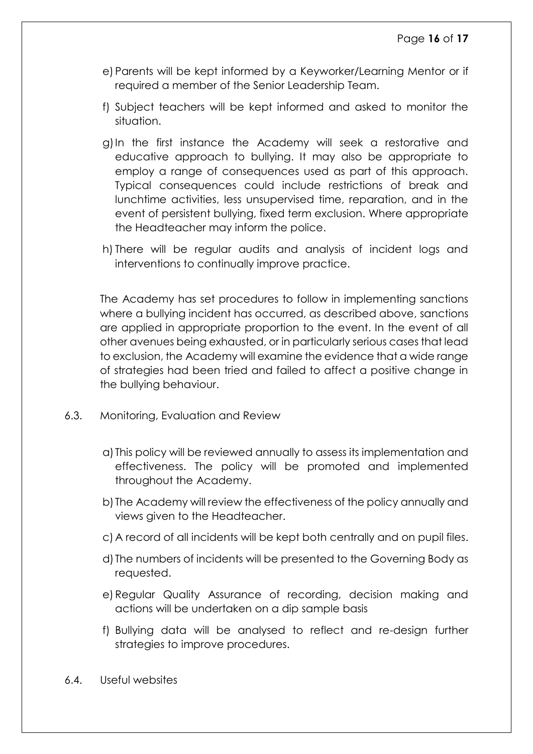- e) Parents will be kept informed by a Keyworker/Learning Mentor or if required a member of the Senior Leadership Team.
- f) Subject teachers will be kept informed and asked to monitor the situation.
- g)In the first instance the Academy will seek a restorative and educative approach to bullying. It may also be appropriate to employ a range of consequences used as part of this approach. Typical consequences could include restrictions of break and lunchtime activities, less unsupervised time, reparation, and in the event of persistent bullying, fixed term exclusion. Where appropriate the Headteacher may inform the police.
- h) There will be regular audits and analysis of incident logs and interventions to continually improve practice.

The Academy has set procedures to follow in implementing sanctions where a bullying incident has occurred, as described above, sanctions are applied in appropriate proportion to the event. In the event of all other avenues being exhausted, or in particularly serious cases that lead to exclusion, the Academy will examine the evidence that a wide range of strategies had been tried and failed to affect a positive change in the bullying behaviour.

- 6.3. Monitoring, Evaluation and Review
	- a) This policy will be reviewed annually to assess its implementation and effectiveness. The policy will be promoted and implemented throughout the Academy.
	- b) The Academy will review the effectiveness of the policy annually and views given to the Headteacher.
	- c) A record of all incidents will be kept both centrally and on pupil files.
	- d) The numbers of incidents will be presented to the Governing Body as requested.
	- e)Regular Quality Assurance of recording, decision making and actions will be undertaken on a dip sample basis
	- f) Bullying data will be analysed to reflect and re-design further strategies to improve procedures.
- 6.4. Useful websites